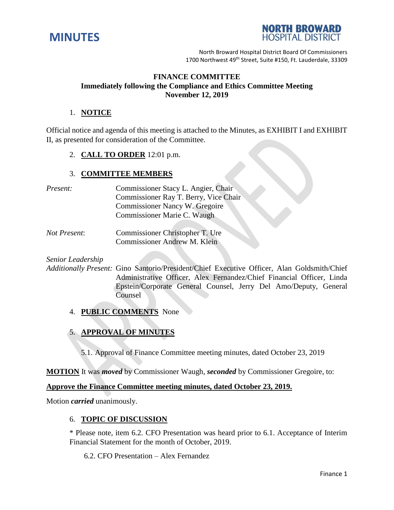



North Broward Hospital District Board Of Commissioners 1700 Northwest 49<sup>th</sup> Street, Suite #150, Ft. Lauderdale, 33309

## **FINANCE COMMITTEE Immediately following the Compliance and Ethics Committee Meeting November 12, 2019**

### 1. **NOTICE**

Official notice and agenda of this meeting is attached to the Minutes, as EXHIBIT I and EXHIBIT II, as presented for consideration of the Committee.

2. **CALL TO ORDER** 12:01 p.m.

### 3. **COMMITTEE MEMBERS**

| Present: | Commissioner Stacy L. Angier, Chair   |
|----------|---------------------------------------|
|          | Commissioner Ray T. Berry, Vice Chair |
|          | Commissioner Nancy W. Gregoire        |
|          | Commissioner Marie C. Waugh           |
|          |                                       |

*Not Present*: Commissioner Christopher T. Ure Commissioner Andrew M. Klein

*Senior Leadership*

*Additionally Present:* Gino Santorio/President/Chief Executive Officer, Alan Goldsmith/Chief Administrative Officer, Alex Fernandez/Chief Financial Officer, Linda Epstein/Corporate General Counsel, Jerry Del Amo/Deputy, General Counsel

- 4. **PUBLIC COMMENTS** None
- 5. **APPROVAL OF MINUTES**
	- 5.1. Approval of Finance Committee meeting minutes, dated October 23, 2019

**MOTION** It was *moved* by Commissioner Waugh, *seconded* by Commissioner Gregoire, to:

### **Approve the Finance Committee meeting minutes, dated October 23, 2019.**

Motion *carried* unanimously.

#### 6. **TOPIC OF DISCUSSION**

\* Please note, item 6.2. CFO Presentation was heard prior to 6.1. Acceptance of Interim Financial Statement for the month of October, 2019.

6.2. CFO Presentation – Alex Fernandez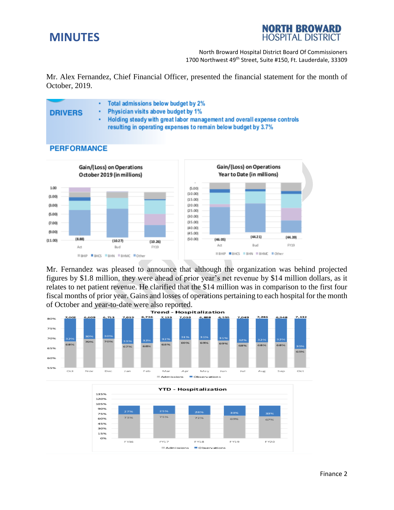# **MINUTES**



North Broward Hospital District Board Of Commissioners 1700 Northwest 49<sup>th</sup> Street, Suite #150, Ft. Lauderdale, 33309

Mr. Alex Fernandez, Chief Financial Officer, presented the financial statement for the month of October, 2019.



Mr. Fernandez was pleased to announce that although the organization was behind projected figures by \$1.8 million, they were ahead of prior year's net revenue by \$14 million dollars, as it relates to net patient revenue. He clarified that the \$14 million was in comparison to the first four fiscal months of prior year. Gains and losses of operations pertaining to each hospital for the month of October and year-to-date were also reported.



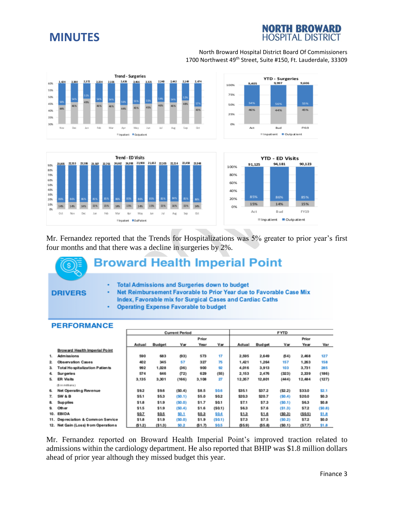# **MINUTES**

# **NORTH BROWARD HOSPITAL DISTRICT**

#### North Broward Hospital District Board Of Commissioners 1700 Northwest 49<sup>th</sup> Street, Suite #150, Ft. Lauderdale, 33309







Mr. Fernandez reported that the Trends for Hospitalizations was 5% greater to prior year's first four months and that there was a decline in surgeries by 2%.

# **Broward Health Imperial Point**

#### **DRIVERS**

- **Total Admissions and Surgeries down to budget** ÷
- Net Reimbursement Favorable to Prior Year due to Favorable Case Mix ٠ Index, Favorable mix for Surgical Cases and Cardiac Caths
- **Operating Expense Favorable to budget** ٠

#### **PERFORMANCE**

|              |                                       | <b>Current Period</b> |        |        |       | <b>FYTD</b> |        |               |          |         |        |
|--------------|---------------------------------------|-----------------------|--------|--------|-------|-------------|--------|---------------|----------|---------|--------|
|              |                                       | Prior                 |        |        | Prior |             |        |               |          |         |        |
|              |                                       | Actual                | Budget | Var    | Year  | Var         | Actual | <b>Budget</b> | Var      | Year    | Var    |
|              | Broward Health Imperial Point         |                       |        |        |       |             |        |               |          |         |        |
| 1.           | <b>Admissions</b>                     | 590                   | 683    | (93)   | 573   | 17          | 2,595  | 2.649         | (54)     | 2,468   | 127    |
| $\mathbf{2}$ | <b>Observation Cases</b>              | 402                   | 345    | 57     | 327   | 75          | 1,421  | 1,264         | 157      | 1,263   | 158    |
| 3.           | <b>Total Hospitalization Patients</b> | 992                   | 1,028  | (36)   | 900   | 92          | 4,016  | 3.913         | 103      | 3,731   | 285    |
| 4.           | <b>Surgeries</b>                      | 574                   | 646    | (72)   | 629   | (55)        | 2,153  | 2,476         | (323)    | 2,339   | (186)  |
| 5.           | <b>ER Visits</b>                      | 3,135                 | 3,301  | (166)  | 3,108 | 27          | 12,357 | 12,801        | (444)    | 12,484  | (127)  |
|              | (5 in milians)                        |                       |        |        |       |             |        |               |          |         |        |
| 6.           | Net Operating Revenue                 | \$9.2                 | \$9.6  | (50.4) | \$8.5 | \$0.6       | \$35.1 | \$37.2        | ( \$2.2) | \$33.0  | \$2.1  |
| 7.           | SW & B                                | \$5.1                 | \$5.3  | (S0.1) | \$5.0 | \$0.2       | \$20.3 | \$20.7        | (50.4)   | \$20.0  | \$0.3  |
| 8.           | Sup plies                             | \$1.8                 | \$1.9  | (50.0) | \$1.7 | \$0.1       | \$7.1  | \$7.3         | (50.1)   | \$6.3   | \$0.8  |
| 9.           | Other                                 | \$1.5                 | \$1.9  | (50.4) | \$1.6 | (S0.1)      | \$6.3  | \$7.6         | (S1.3)   | \$7.2   | (S0.8) |
| 10.          | EBIDA                                 | \$0.7                 | \$0.5  | \$0.1  | \$0.3 | \$0.4       | \$1.3  | \$1.6         | (50.3)   | (\$0.5) | \$1.8  |
|              | 11. Depreciation & Common Service     | \$1.8                 | \$1.9  | (50.0) | \$1.9 | (S0.1)      | \$7.3  | \$7.5         | (50.2)   | \$7.2   | \$0.0  |
|              | 12. Net Gain (Loss) from Operations   | (51.2)                | (51.3) | \$0.2  | \$1.7 | \$0.5       | (55.9) | (55.8)        | (50.1)   | (\$7.7) | \$1.8  |

Mr. Fernandez reported on Broward Health Imperial Point's improved traction related to admissions within the cardiology department. He also reported that BHIP was \$1.8 million dollars ahead of prior year although they missed budget this year.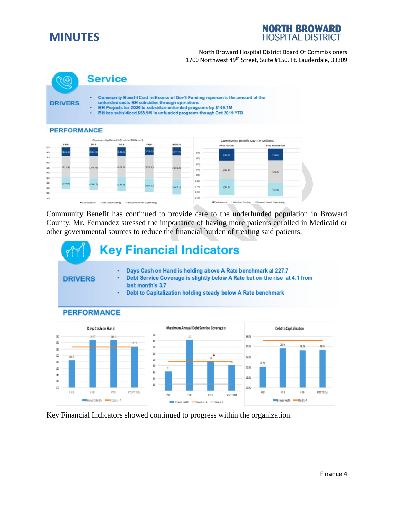



#### North Broward Hospital District Board Of Commissioners 1700 Northwest 49<sup>th</sup> Street, Suite #150, Ft. Lauderdale, 33309



Community Benefit has continued to provide care to the underfunded population in Broward County. Mr. Fernandez stressed the importance of having more patients enrolled in Medicaid or other governmental sources to reduce the financial burden of treating said patients.



Key Financial Indicators showed continued to progress within the organization.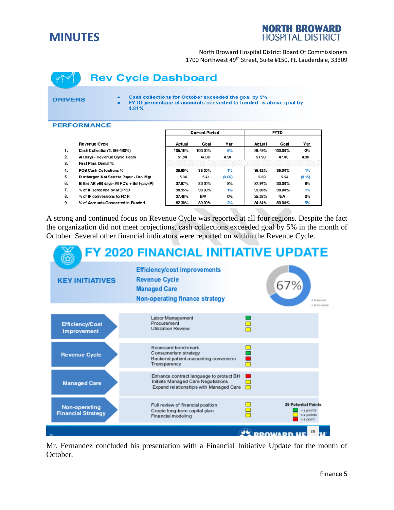# **MINUTES**

# **NORTH BROWARD HOSPITAL DISTRICT**

North Broward Hospital District Board Of Commissioners 1700 Northwest 49<sup>th</sup> Street, Suite #150, Ft. Lauderdale, 33309

# **Rev Cycle Dashboard**

#### **DRIVERS**

Cash collections for October exceeded the goal by 5%

FYTD percentage of accounts converted to funded is above goal by ä, 4.81%

#### **PERFORMANCE**

|              |                                             |         | <b>Current Period</b> |        |        |         |        |  |
|--------------|---------------------------------------------|---------|-----------------------|--------|--------|---------|--------|--|
|              | <b>Revenue Cycle</b>                        | Actual  | Goal                  | Var    | Actual | Goal    | Var    |  |
| 1.           | Cash Collection % (86-100%)                 | 105.16% | 100.00%               | 5%     | 98.49% | 100.00% | $-2%$  |  |
| $\mathbf{2}$ | AR days - Revenue Cycle Team                | 51.90   | 47.00                 | 4.90   | 51.90  | 47.00   | 4.90   |  |
| 3.           | First Pass Denial%                          |         |                       |        |        |         |        |  |
| 4.           | POS Cash Collections %                      | 35.60%  | 35.00%                | 1%     | 35.52% | 35.00%  | 1%     |  |
| 5.           | Discharged Not Sent to Payer - Rev Mgt      | 5.36    | 5.41                  | (0.05) | 5.39   | 5.54    | (0.15) |  |
| 6.           | Billed AR >90 days- All FC's + Self-pay (P) | 37.97%  | 30.00%                | 8%     | 37.97% | 30.00%  | 8%     |  |
| 7.           | % of IP screened by MOPED                   | 98.95%  | 98.00%                | 1%     | 99.08% | 98.00%  | 1%     |  |
| 8.           | % of IP conversions to FC R                 | 27.48%  | N/A                   | O%     | 25.28% | N/A     | O%     |  |
| 9.           | % of Accounts Converted to Funded           | 82.30%  | 80.00%                | 2%     | 84.81% | 80.00%  | 5%     |  |

A strong and continued focus on Revenue Cycle was reported at all four regions. Despite the fact the organization did not meet projections, cash collections exceeded goal by 5% in the month of October. Several other financial indicators were reported on within the Revenue Cycle.



Mr. Fernandez concluded his presentation with a Financial Initiative Update for the month of October.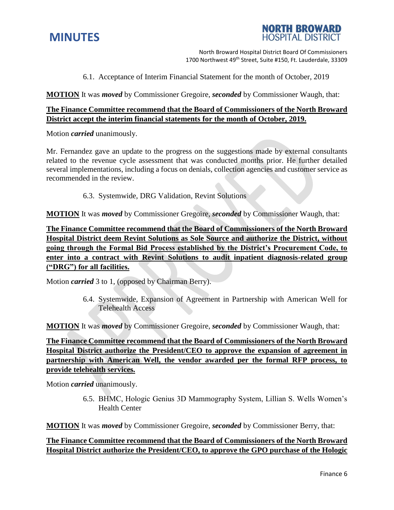

**NORTH BROWARD HOSPITAL DISTRICT** 

North Broward Hospital District Board Of Commissioners 1700 Northwest 49<sup>th</sup> Street, Suite #150, Ft. Lauderdale, 33309

6.1. Acceptance of Interim Financial Statement for the month of October, 2019

**MOTION** It was *moved* by Commissioner Gregoire, *seconded* by Commissioner Waugh, that:

## **The Finance Committee recommend that the Board of Commissioners of the North Broward District accept the interim financial statements for the month of October, 2019.**

Motion *carried* unanimously.

Mr. Fernandez gave an update to the progress on the suggestions made by external consultants related to the revenue cycle assessment that was conducted months prior. He further detailed several implementations, including a focus on denials, collection agencies and customer service as recommended in the review.

6.3. Systemwide, DRG Validation, Revint Solutions

**MOTION** It was *moved* by Commissioner Gregoire, *seconded* by Commissioner Waugh, that:

**The Finance Committee recommend that the Board of Commissioners of the North Broward Hospital District deem Revint Solutions as Sole Source and authorize the District, without going through the Formal Bid Process established by the District's Procurement Code, to enter into a contract with Revint Solutions to audit inpatient diagnosis-related group ("DRG") for all facilities.** 

Motion *carried* 3 to 1, (opposed by Chairman Berry).

6.4. Systemwide, Expansion of Agreement in Partnership with American Well for Telehealth Access

**MOTION** It was *moved* by Commissioner Gregoire, *seconded* by Commissioner Waugh, that:

**The Finance Committee recommend that the Board of Commissioners of the North Broward Hospital District authorize the President/CEO to approve the expansion of agreement in partnership with American Well, the vendor awarded per the formal RFP process, to provide telehealth services.**

Motion *carried* unanimously.

6.5. BHMC, Hologic Genius 3D Mammography System, Lillian S. Wells Women's Health Center

**MOTION** It was *moved* by Commissioner Gregoire, *seconded* by Commissioner Berry, that:

## **The Finance Committee recommend that the Board of Commissioners of the North Broward Hospital District authorize the President/CEO, to approve the GPO purchase of the Hologic**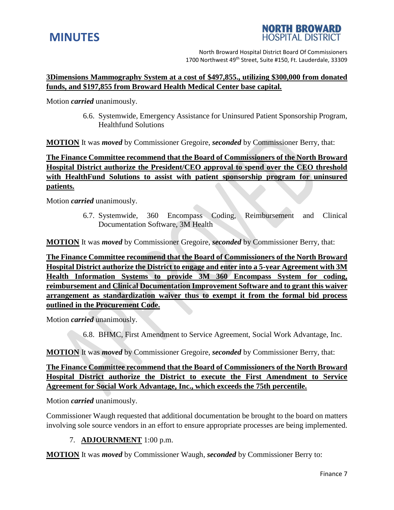



North Broward Hospital District Board Of Commissioners 1700 Northwest 49<sup>th</sup> Street, Suite #150, Ft. Lauderdale, 33309

### **3Dimensions Mammography System at a cost of \$497,855., utilizing \$300,000 from donated funds, and \$197,855 from Broward Health Medical Center base capital.**

Motion *carried* unanimously.

6.6. Systemwide, Emergency Assistance for Uninsured Patient Sponsorship Program, Healthfund Solutions

**MOTION** It was *moved* by Commissioner Gregoire, *seconded* by Commissioner Berry, that:

**The Finance Committee recommend that the Board of Commissioners of the North Broward Hospital District authorize the President/CEO approval to spend over the CEO threshold with HealthFund Solutions to assist with patient sponsorship program for uninsured patients.**

Motion *carried* unanimously.

6.7. Systemwide, 360 Encompass Coding, Reimbursement and Clinical Documentation Software, 3M Health

**MOTION** It was *moved* by Commissioner Gregoire, *seconded* by Commissioner Berry, that:

**The Finance Committee recommend that the Board of Commissioners of the North Broward Hospital District authorize the District to engage and enter into a 5-year Agreement with 3M Health Information Systems to provide 3M 360 Encompass System for coding, reimbursement and Clinical Documentation Improvement Software and to grant this waiver arrangement as standardization waiver thus to exempt it from the formal bid process outlined in the Procurement Code.** 

Motion *carried* unanimously.

6.8. BHMC, First Amendment to Service Agreement, Social Work Advantage, Inc.

**MOTION** It was *moved* by Commissioner Gregoire, *seconded* by Commissioner Berry, that:

**The Finance Committee recommend that the Board of Commissioners of the North Broward Hospital District authorize the District to execute the First Amendment to Service Agreement for Social Work Advantage, Inc., which exceeds the 75th percentile.**

Motion *carried* unanimously.

Commissioner Waugh requested that additional documentation be brought to the board on matters involving sole source vendors in an effort to ensure appropriate processes are being implemented.

## 7. **ADJOURNMENT** 1:00 p.m.

**MOTION** It was *moved* by Commissioner Waugh, *seconded* by Commissioner Berry to: